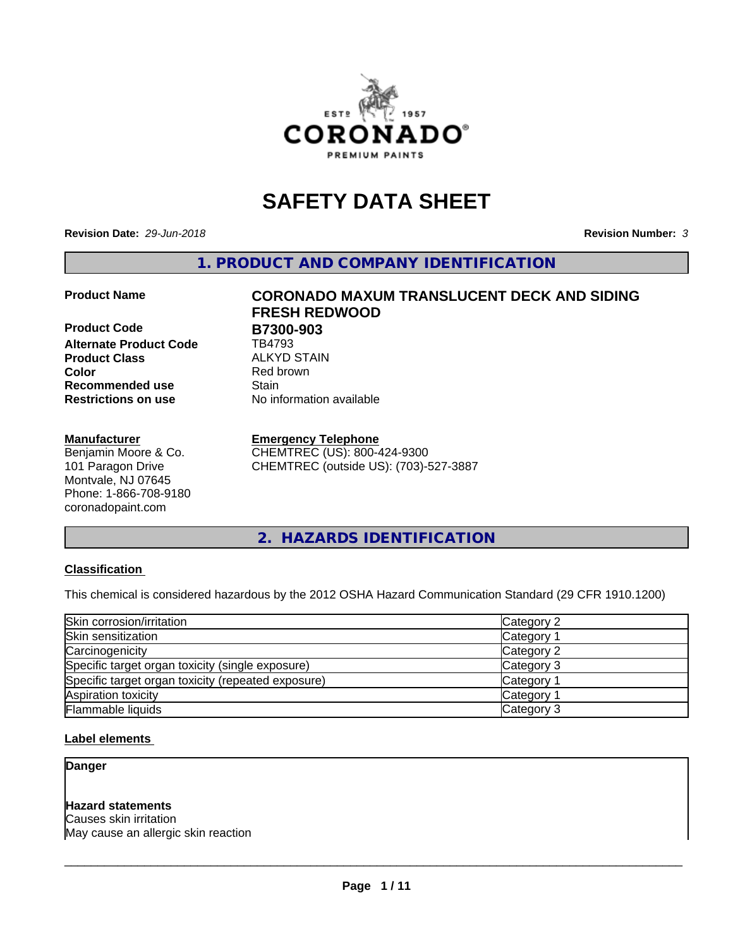

# **SAFETY DATA SHEET**

**Revision Date:** *29-Jun-2018* **Revision Number:** *3*

**1. PRODUCT AND COMPANY IDENTIFICATION**

**Product Code B7300-903**<br>Alternate Product Code **BA793 Alternate Product Code Product Class** ALKYD STAIN<br> **Color** Red brown **Recommended use Stain Restrictions on use** No information available

#### **Manufacturer**

Benjamin Moore & Co. 101 Paragon Drive Montvale, NJ 07645 Phone: 1-866-708-9180 coronadopaint.com

# **Product Name CORONADO MAXUM TRANSLUCENT DECK AND SIDING FRESH REDWOOD Red brown**

#### **Emergency Telephone**

CHEMTREC (US): 800-424-9300 CHEMTREC (outside US): (703)-527-3887

**2. HAZARDS IDENTIFICATION**

#### **Classification**

This chemical is considered hazardous by the 2012 OSHA Hazard Communication Standard (29 CFR 1910.1200)

| Skin corrosion/irritation                          | Category 2        |
|----------------------------------------------------|-------------------|
| Skin sensitization                                 | Category 1        |
| Carcinogenicity                                    | Category 2        |
| Specific target organ toxicity (single exposure)   | Category 3        |
| Specific target organ toxicity (repeated exposure) | Category 1        |
| Aspiration toxicity                                | <b>Category 1</b> |
| Flammable liquids                                  | Category 3        |

#### **Label elements**

**Danger**

#### **Hazard statements**

Causes skin irritation May cause an allergic skin reaction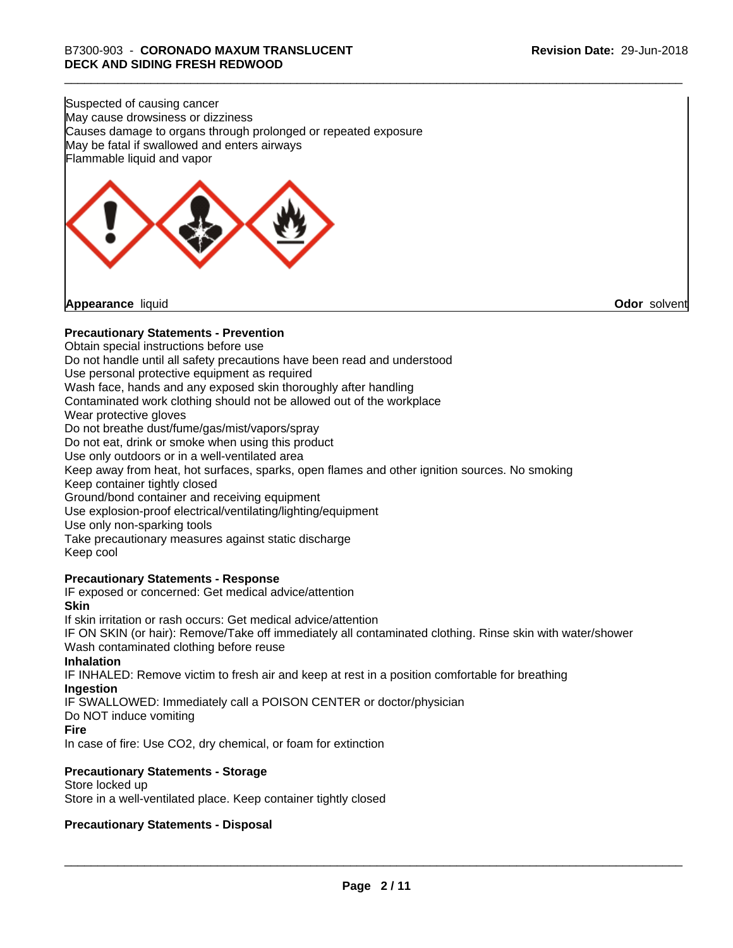Suspected of causing cancer May cause drowsiness or dizziness Causes damage to organs through prolonged or repeated exposure May be fatal if swallowed and enters airways Flammable liquid and vapor



**Appearance** liquid **Odor** solvent

#### **Precautionary Statements - Prevention**

Obtain special instructions before use Do not handle until all safety precautions have been read and understood Use personal protective equipment as required Wash face, hands and any exposed skin thoroughly after handling Contaminated work clothing should not be allowed out of the workplace Wear protective gloves Do not breathe dust/fume/gas/mist/vapors/spray Do not eat, drink or smoke when using this product Use only outdoors or in a well-ventilated area Keep away from heat, hot surfaces, sparks, open flames and other ignition sources. No smoking Keep container tightly closed Ground/bond container and receiving equipment Use explosion-proof electrical/ventilating/lighting/equipment Use only non-sparking tools Take precautionary measures against static discharge Keep cool **Precautionary Statements - Response** IF exposed or concerned: Get medical advice/attention **Skin** If skin irritation or rash occurs: Get medical advice/attention

IF ON SKIN (or hair): Remove/Take off immediately all contaminated clothing. Rinse skin with water/shower Wash contaminated clothing before reuse

#### **Inhalation**

IF INHALED: Remove victim to fresh air and keep at rest in a position comfortable for breathing **Ingestion**

IF SWALLOWED: Immediately call a POISON CENTER or doctor/physician

# Do NOT induce vomiting

**Fire**

In case of fire: Use CO2, dry chemical, or foam for extinction

#### **Precautionary Statements - Storage**

Store locked up Store in a well-ventilated place. Keep container tightly closed

#### **Precautionary Statements - Disposal**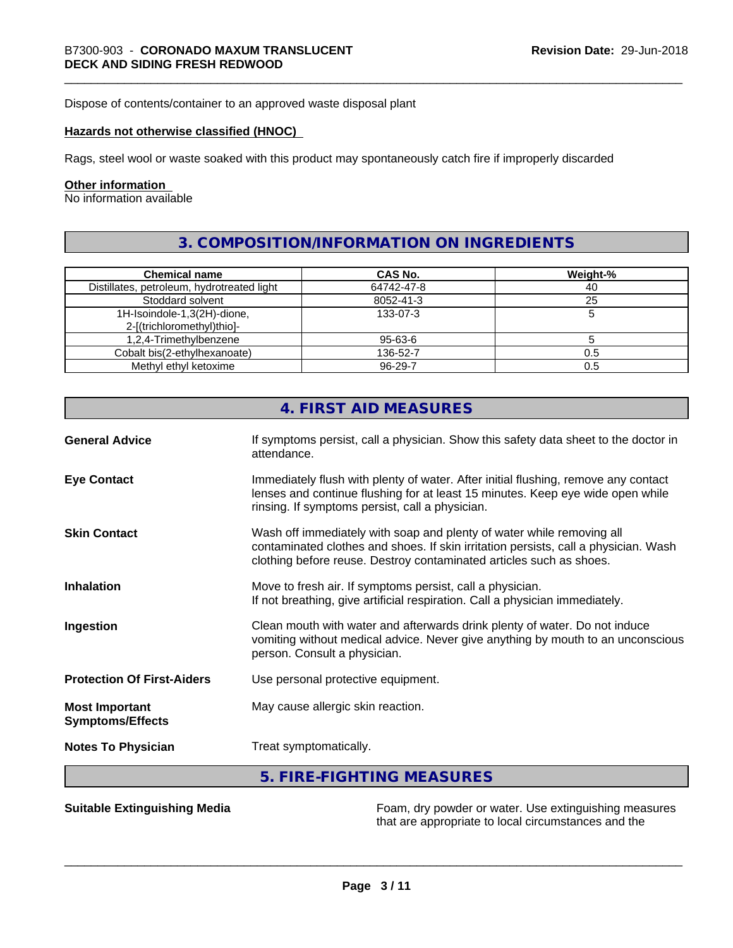Dispose of contents/container to an approved waste disposal plant

#### **Hazards not otherwise classified (HNOC)**

Rags, steel wool or waste soaked with this product may spontaneously catch fire if improperly discarded

#### **Other information**

No information available

# **3. COMPOSITION/INFORMATION ON INGREDIENTS**

| <b>Chemical name</b>                       | CAS No.       | Weight-% |
|--------------------------------------------|---------------|----------|
| Distillates, petroleum, hydrotreated light | 64742-47-8    | 40       |
| Stoddard solvent                           | 8052-41-3     | 25       |
| 1H-Isoindole-1,3(2H)-dione,                | 133-07-3      |          |
| 2-[(trichloromethyl)thio]-                 |               |          |
| 1,2,4-Trimethylbenzene                     | 95-63-6       |          |
| Cobalt bis(2-ethylhexanoate)               | 136-52-7      | 0.5      |
| Methyl ethyl ketoxime                      | $96 - 29 - 7$ | 0.5      |

|                                                  | 4. FIRST AID MEASURES                                                                                                                                                                                                               |
|--------------------------------------------------|-------------------------------------------------------------------------------------------------------------------------------------------------------------------------------------------------------------------------------------|
| <b>General Advice</b>                            | If symptoms persist, call a physician. Show this safety data sheet to the doctor in<br>attendance.                                                                                                                                  |
| <b>Eye Contact</b>                               | Immediately flush with plenty of water. After initial flushing, remove any contact<br>lenses and continue flushing for at least 15 minutes. Keep eye wide open while<br>rinsing. If symptoms persist, call a physician.             |
| <b>Skin Contact</b>                              | Wash off immediately with soap and plenty of water while removing all<br>contaminated clothes and shoes. If skin irritation persists, call a physician. Wash<br>clothing before reuse. Destroy contaminated articles such as shoes. |
| <b>Inhalation</b>                                | Move to fresh air. If symptoms persist, call a physician.<br>If not breathing, give artificial respiration. Call a physician immediately.                                                                                           |
| Ingestion                                        | Clean mouth with water and afterwards drink plenty of water. Do not induce<br>vomiting without medical advice. Never give anything by mouth to an unconscious<br>person. Consult a physician.                                       |
| <b>Protection Of First-Aiders</b>                | Use personal protective equipment.                                                                                                                                                                                                  |
| <b>Most Important</b><br><b>Symptoms/Effects</b> | May cause allergic skin reaction.                                                                                                                                                                                                   |
| <b>Notes To Physician</b>                        | Treat symptomatically.                                                                                                                                                                                                              |
|                                                  | 5. FIRE-FIGHTING MEASURES                                                                                                                                                                                                           |

**Suitable Extinguishing Media** Foam, dry powder or water. Use extinguishing measures that are appropriate to local circumstances and the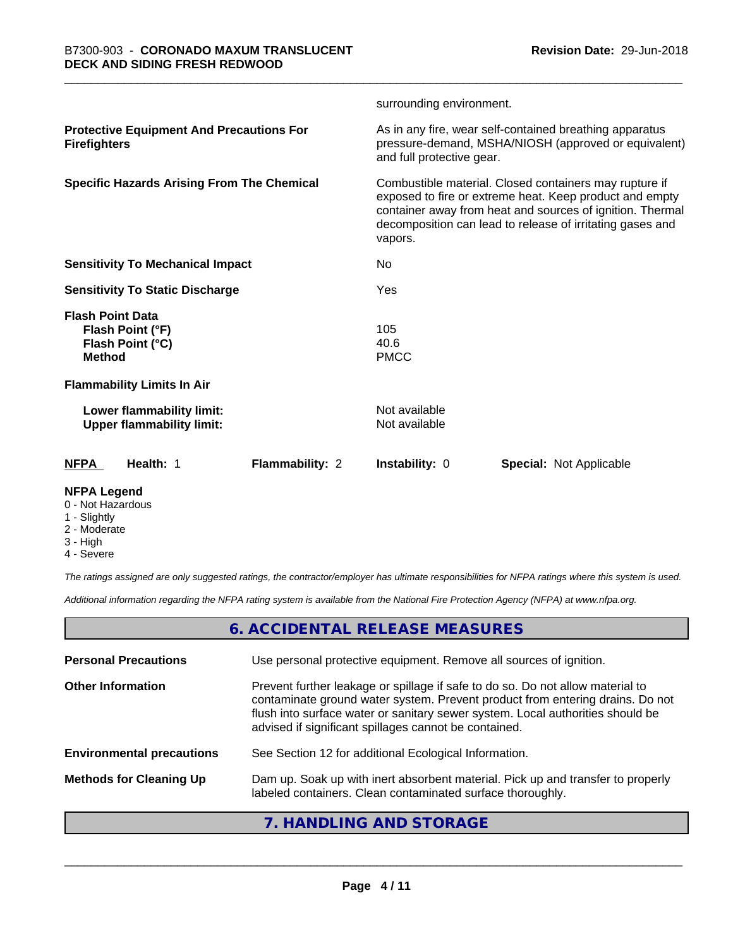|                                                                                  |                        | surrounding environment.       |                                                                                                                                                                                                                                             |
|----------------------------------------------------------------------------------|------------------------|--------------------------------|---------------------------------------------------------------------------------------------------------------------------------------------------------------------------------------------------------------------------------------------|
| <b>Protective Equipment And Precautions For</b><br><b>Firefighters</b>           |                        | and full protective gear.      | As in any fire, wear self-contained breathing apparatus<br>pressure-demand, MSHA/NIOSH (approved or equivalent)                                                                                                                             |
| <b>Specific Hazards Arising From The Chemical</b>                                |                        | vapors.                        | Combustible material. Closed containers may rupture if<br>exposed to fire or extreme heat. Keep product and empty<br>container away from heat and sources of ignition. Thermal<br>decomposition can lead to release of irritating gases and |
| <b>Sensitivity To Mechanical Impact</b>                                          |                        | N <sub>0</sub>                 |                                                                                                                                                                                                                                             |
| <b>Sensitivity To Static Discharge</b>                                           |                        | Yes                            |                                                                                                                                                                                                                                             |
| <b>Flash Point Data</b><br>Flash Point (°F)<br>Flash Point (°C)<br><b>Method</b> |                        | 105<br>40.6<br><b>PMCC</b>     |                                                                                                                                                                                                                                             |
| <b>Flammability Limits In Air</b>                                                |                        |                                |                                                                                                                                                                                                                                             |
| Lower flammability limit:<br><b>Upper flammability limit:</b>                    |                        | Not available<br>Not available |                                                                                                                                                                                                                                             |
| Health: 1<br><b>NFPA</b>                                                         | <b>Flammability: 2</b> | <b>Instability: 0</b>          | <b>Special: Not Applicable</b>                                                                                                                                                                                                              |
| <b>NFPA Legend</b>                                                               |                        |                                |                                                                                                                                                                                                                                             |

- 0 Not Hazardous
- 1 Slightly
- 2 Moderate
- 3 High
- 4 Severe

*The ratings assigned are only suggested ratings, the contractor/employer has ultimate responsibilities for NFPA ratings where this system is used.*

*Additional information regarding the NFPA rating system is available from the National Fire Protection Agency (NFPA) at www.nfpa.org.*

## **6. ACCIDENTAL RELEASE MEASURES**

| <b>Personal Precautions</b>      | Use personal protective equipment. Remove all sources of ignition.                                                                                                                                                                                                                                         |
|----------------------------------|------------------------------------------------------------------------------------------------------------------------------------------------------------------------------------------------------------------------------------------------------------------------------------------------------------|
| <b>Other Information</b>         | Prevent further leakage or spillage if safe to do so. Do not allow material to<br>contaminate ground water system. Prevent product from entering drains. Do not<br>flush into surface water or sanitary sewer system. Local authorities should be<br>advised if significant spillages cannot be contained. |
| <b>Environmental precautions</b> | See Section 12 for additional Ecological Information.                                                                                                                                                                                                                                                      |
| <b>Methods for Cleaning Up</b>   | Dam up. Soak up with inert absorbent material. Pick up and transfer to properly<br>labeled containers. Clean contaminated surface thoroughly.                                                                                                                                                              |
|                                  |                                                                                                                                                                                                                                                                                                            |

#### **7. HANDLING AND STORAGE**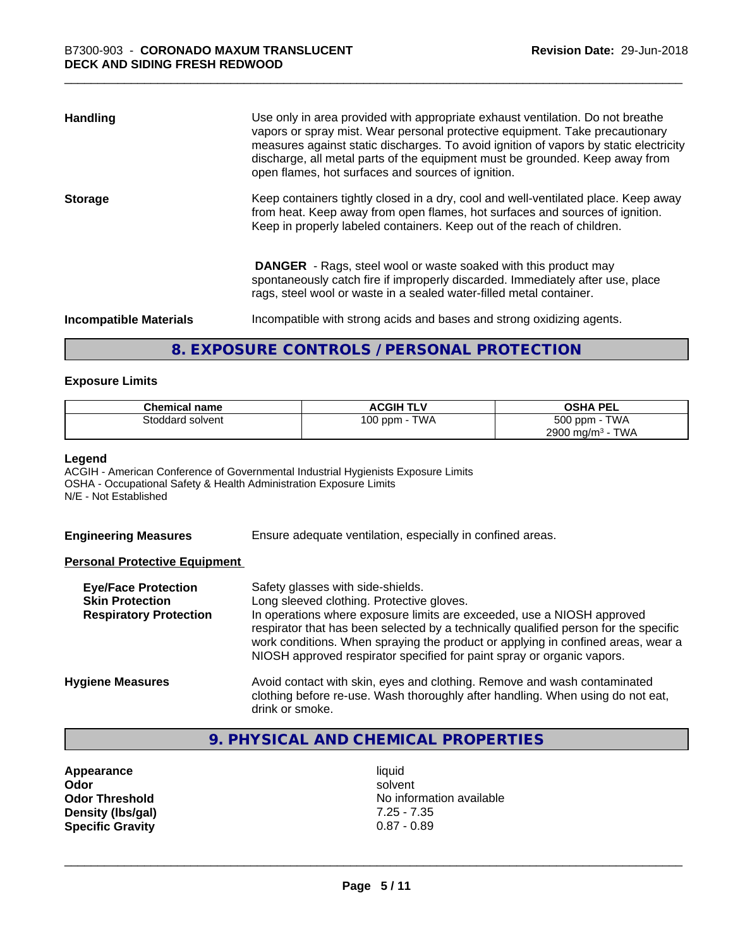| <b>Handling</b>               | Use only in area provided with appropriate exhaust ventilation. Do not breathe<br>vapors or spray mist. Wear personal protective equipment. Take precautionary<br>measures against static discharges. To avoid ignition of vapors by static electricity<br>discharge, all metal parts of the equipment must be grounded. Keep away from<br>open flames, hot surfaces and sources of ignition. |
|-------------------------------|-----------------------------------------------------------------------------------------------------------------------------------------------------------------------------------------------------------------------------------------------------------------------------------------------------------------------------------------------------------------------------------------------|
| <b>Storage</b>                | Keep containers tightly closed in a dry, cool and well-ventilated place. Keep away<br>from heat. Keep away from open flames, hot surfaces and sources of ignition.<br>Keep in properly labeled containers. Keep out of the reach of children.                                                                                                                                                 |
|                               | <b>DANGER</b> - Rags, steel wool or waste soaked with this product may<br>spontaneously catch fire if improperly discarded. Immediately after use, place<br>rags, steel wool or waste in a sealed water-filled metal container.                                                                                                                                                               |
| <b>Incompatible Materials</b> | Incompatible with strong acids and bases and strong oxidizing agents.                                                                                                                                                                                                                                                                                                                         |

## **8. EXPOSURE CONTROLS / PERSONAL PROTECTION**

#### **Exposure Limits**

| <b>Chemical name</b> | <b>ACGIH TLV</b> | <b>OSHA PEL</b>                        |
|----------------------|------------------|----------------------------------------|
| Stoddard solvent     | TWA<br>100 ppm   | 500 ppm -<br><b>TWA</b>                |
|                      |                  | <b>TWA</b><br>2900 mg/m <sup>3</sup> - |

#### **Legend**

ACGIH - American Conference of Governmental Industrial Hygienists Exposure Limits OSHA - Occupational Safety & Health Administration Exposure Limits N/E - Not Established

**Engineering Measures** Ensure adequate ventilation, especially in confined areas.

#### **Personal Protective Equipment**

| <b>Eye/Face Protection</b><br><b>Skin Protection</b><br><b>Respiratory Protection</b> | Safety glasses with side-shields.<br>Long sleeved clothing. Protective gloves.<br>In operations where exposure limits are exceeded, use a NIOSH approved<br>respirator that has been selected by a technically qualified person for the specific<br>work conditions. When spraying the product or applying in confined areas, wear a<br>NIOSH approved respirator specified for paint spray or organic vapors. |
|---------------------------------------------------------------------------------------|----------------------------------------------------------------------------------------------------------------------------------------------------------------------------------------------------------------------------------------------------------------------------------------------------------------------------------------------------------------------------------------------------------------|
| <b>Hygiene Measures</b>                                                               | Avoid contact with skin, eyes and clothing. Remove and wash contaminated<br>clothing before re-use. Wash thoroughly after handling. When using do not eat,<br>drink or smoke.                                                                                                                                                                                                                                  |

# **9. PHYSICAL AND CHEMICAL PROPERTIES**

**Appearance** liquid<br> **Appearance** liquid<br> **Odor** solver **Density (lbs/gal)** 7.25 - 7.35<br>**Specific Gravity** 0.87 - 0.89 **Specific Gravity** 

**Odor** solvent **Odor Threshold** No information available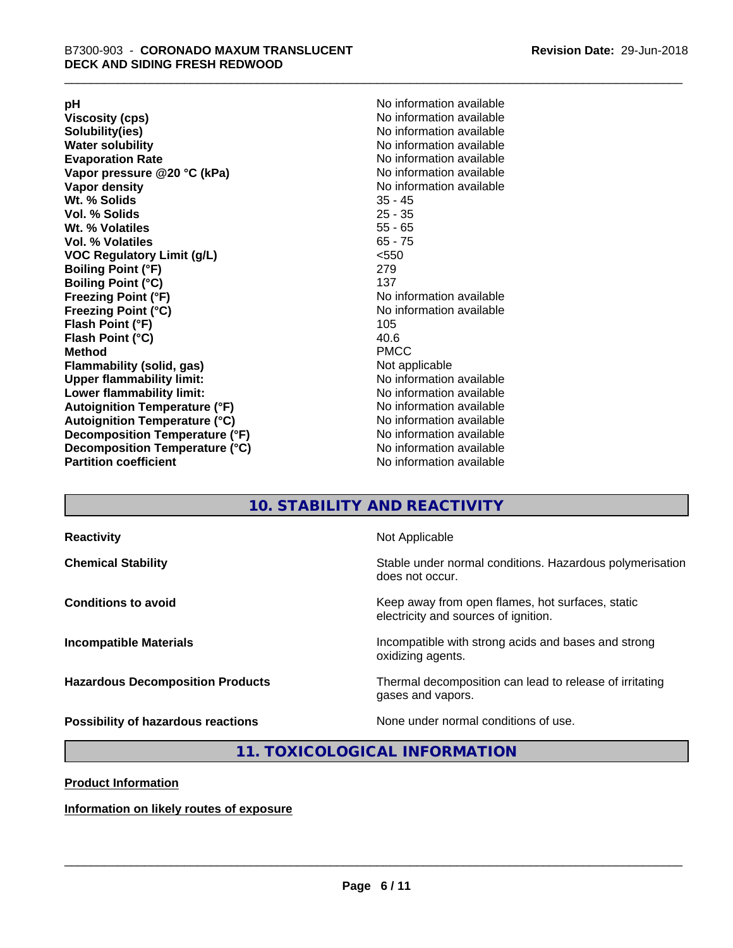**Viscosity (cps)** <br> **Viscosity (cps)** No information available<br>
No information available<br>
No information available **Water solubility**<br> **Evaporation Rate**<br> **Evaporation Rate**<br> **Evaporation Rate Vapor** pressure @20 °C (kPa) **Vapor density No information available Wt. % Solids** 35 - 45 **Vol. % Solids Wt. % Volatiles** 55 - 65 **Vol. % Volatiles** 65 - 75 **VOC Regulatory Limit (g/L)** <550 **Boiling Point (°F)** 279 **Boiling Point (°C)**<br>**Freezing Point (°F) Freezing Point (°C)** No information available **Flash Point (°F)** 105 **Flash Point (°C)** 40.6 **Method** PMCC **Flammability (solid, gas)** Not applicable **Upper flammability limit:** No information available **Lower flammability limit:** No information available **Autoignition Temperature (°F)** No information available **Autoignition Temperature (°C)** No information available **Decomposition Temperature (°F)** No information available **Decomposition Temperature (°C)** No information available<br> **Partition coefficient Partition available** 

**pH**<br>
Viscosity (cps) The Contract of the Contract of No information available<br>
No information available **Solubility(ies)** No information available No information available<br>No information available **No information available No information available** 

## **10. STABILITY AND REACTIVITY**

| <b>Reactivity</b>                         | Not Applicable                                                                           |
|-------------------------------------------|------------------------------------------------------------------------------------------|
| <b>Chemical Stability</b>                 | Stable under normal conditions. Hazardous polymerisation<br>does not occur.              |
| <b>Conditions to avoid</b>                | Keep away from open flames, hot surfaces, static<br>electricity and sources of ignition. |
| <b>Incompatible Materials</b>             | Incompatible with strong acids and bases and strong<br>oxidizing agents.                 |
| <b>Hazardous Decomposition Products</b>   | Thermal decomposition can lead to release of irritating<br>gases and vapors.             |
| <b>Possibility of hazardous reactions</b> | None under normal conditions of use.                                                     |

#### **11. TOXICOLOGICAL INFORMATION**

**Product Information**

**Information on likely routes of exposure**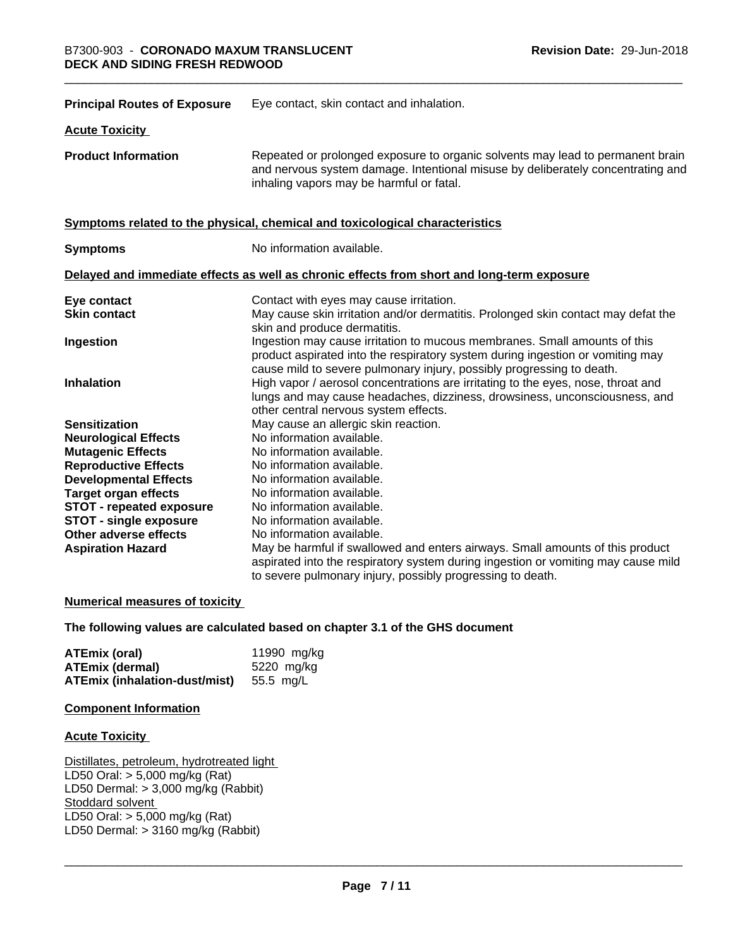| <b>Principal Routes of Exposure</b> | Eye contact, skin contact and inhalation.                                                                                                                                                                                            |
|-------------------------------------|--------------------------------------------------------------------------------------------------------------------------------------------------------------------------------------------------------------------------------------|
| <b>Acute Toxicity</b>               |                                                                                                                                                                                                                                      |
| <b>Product Information</b>          | Repeated or prolonged exposure to organic solvents may lead to permanent brain<br>and nervous system damage. Intentional misuse by deliberately concentrating and<br>inhaling vapors may be harmful or fatal.                        |
|                                     | Symptoms related to the physical, chemical and toxicological characteristics                                                                                                                                                         |
| <b>Symptoms</b>                     | No information available.                                                                                                                                                                                                            |
|                                     | Delayed and immediate effects as well as chronic effects from short and long-term exposure                                                                                                                                           |
| Eye contact                         | Contact with eyes may cause irritation.                                                                                                                                                                                              |
| <b>Skin contact</b>                 | May cause skin irritation and/or dermatitis. Prolonged skin contact may defat the<br>skin and produce dermatitis.                                                                                                                    |
| Ingestion                           | Ingestion may cause irritation to mucous membranes. Small amounts of this<br>product aspirated into the respiratory system during ingestion or vomiting may<br>cause mild to severe pulmonary injury, possibly progressing to death. |
| <b>Inhalation</b>                   | High vapor / aerosol concentrations are irritating to the eyes, nose, throat and<br>lungs and may cause headaches, dizziness, drowsiness, unconsciousness, and<br>other central nervous system effects.                              |
| <b>Sensitization</b>                | May cause an allergic skin reaction.                                                                                                                                                                                                 |
| <b>Neurological Effects</b>         | No information available.                                                                                                                                                                                                            |
| <b>Mutagenic Effects</b>            | No information available.                                                                                                                                                                                                            |
| <b>Reproductive Effects</b>         | No information available.                                                                                                                                                                                                            |
| <b>Developmental Effects</b>        | No information available.                                                                                                                                                                                                            |
| <b>Target organ effects</b>         | No information available.                                                                                                                                                                                                            |
| <b>STOT - repeated exposure</b>     | No information available.                                                                                                                                                                                                            |
| <b>STOT - single exposure</b>       | No information available.                                                                                                                                                                                                            |
| Other adverse effects               | No information available.                                                                                                                                                                                                            |
| <b>Aspiration Hazard</b>            | May be harmful if swallowed and enters airways. Small amounts of this product                                                                                                                                                        |
|                                     | aspirated into the respiratory system during ingestion or vomiting may cause mild<br>to severe pulmonary injury, possibly progressing to death.                                                                                      |

#### **Numerical measures of toxicity**

#### **The following values are calculated based on chapter 3.1 of the GHS document**

| <b>ATEmix (oral)</b>                    | 11990 mg/kg |
|-----------------------------------------|-------------|
| <b>ATEmix (dermal)</b>                  | 5220 mg/kg  |
| ATEmix (inhalation-dust/mist) 55.5 mg/L |             |

#### **Component Information**

#### **Acute Toxicity**

Distillates, petroleum, hydrotreated light LD50 Oral: > 5,000 mg/kg (Rat) LD50 Dermal: > 3,000 mg/kg (Rabbit) Stoddard solvent LD50 Oral: > 5,000 mg/kg (Rat) LD50 Dermal:  $> 3160$  mg/kg (Rabbit)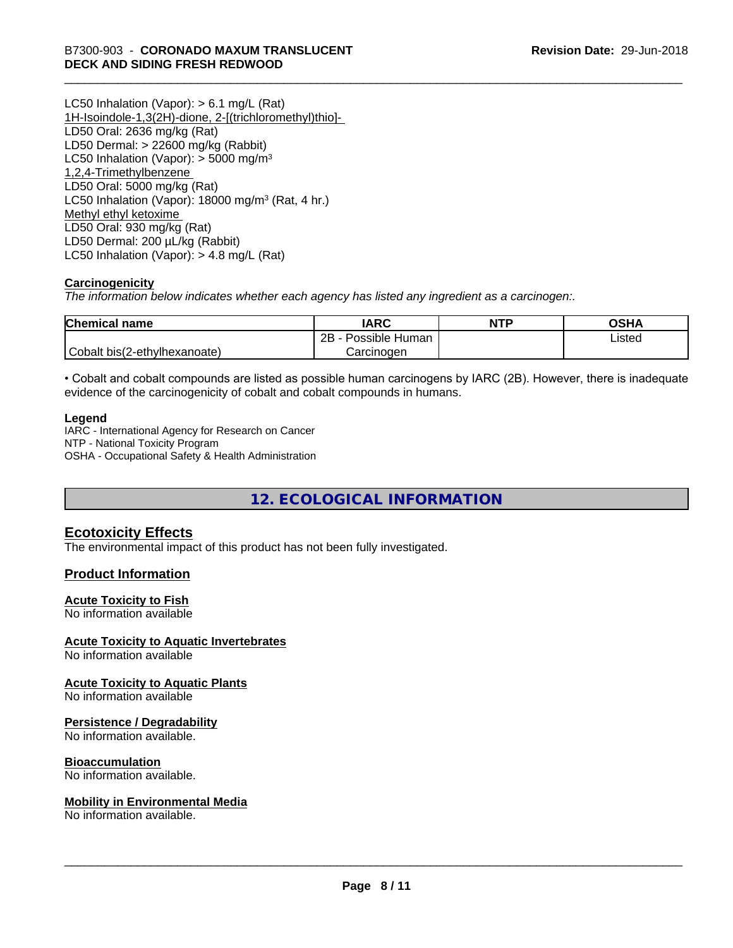LC50 Inhalation (Vapor): > 6.1 mg/L (Rat) 1H-Isoindole-1,3(2H)-dione, 2-[(trichloromethyl)thio]- LD50 Oral: 2636 mg/kg (Rat) LD50 Dermal: > 22600 mg/kg (Rabbit) LC50 Inhalation (Vapor):  $>$  5000 mg/m<sup>3</sup> 1,2,4-Trimethylbenzene LD50 Oral: 5000 mg/kg (Rat) LC50 Inhalation (Vapor): 18000 mg/m<sup>3</sup> (Rat, 4 hr.) Methyl ethyl ketoxime LD50 Oral: 930 mg/kg (Rat) LD50 Dermal: 200 µL/kg (Rabbit) LC50 Inhalation (Vapor): > 4.8 mg/L (Rat)

#### **Carcinogenicity**

*The information below indicateswhether each agency has listed any ingredient as a carcinogen:.*

| <b>Chemical name</b>         | <b>IARC</b>               | <b>NTP</b> | OSHA   |
|------------------------------|---------------------------|------------|--------|
|                              | .<br>2B<br>Possible Human |            | ∟isted |
| Cobalt bis(2-ethylhexanoate) | Carcinoɑen                |            |        |

• Cobalt and cobalt compounds are listed as possible human carcinogens by IARC (2B). However, there is inadequate evidence of the carcinogenicity of cobalt and cobalt compounds in humans.

#### **Legend**

IARC - International Agency for Research on Cancer NTP - National Toxicity Program OSHA - Occupational Safety & Health Administration

**12. ECOLOGICAL INFORMATION**

#### **Ecotoxicity Effects**

The environmental impact of this product has not been fully investigated.

#### **Product Information**

#### **Acute Toxicity to Fish**

No information available

#### **Acute Toxicity to Aquatic Invertebrates**

No information available

#### **Acute Toxicity to Aquatic Plants**

No information available

#### **Persistence / Degradability**

No information available.

#### **Bioaccumulation**

No information available.

#### **Mobility in Environmental Media**

No information available.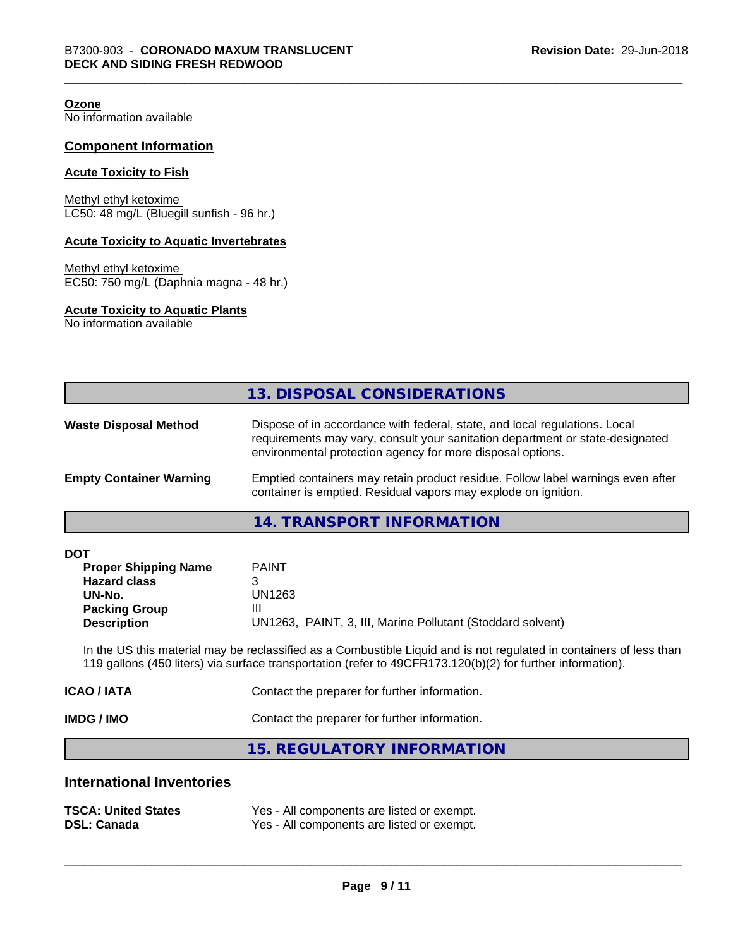**Ozone**

No information available

#### **Component Information**

#### **Acute Toxicity to Fish**

Methyl ethyl ketoxime LC50: 48 mg/L (Bluegill sunfish - 96 hr.)

#### **Acute Toxicity to Aquatic Invertebrates**

Methyl ethyl ketoxime EC50: 750 mg/L (Daphnia magna - 48 hr.)

#### **Acute Toxicity to Aquatic Plants**

No information available

|                                | 13. DISPOSAL CONSIDERATIONS                                                                                                                                                                                               |
|--------------------------------|---------------------------------------------------------------------------------------------------------------------------------------------------------------------------------------------------------------------------|
| <b>Waste Disposal Method</b>   | Dispose of in accordance with federal, state, and local regulations. Local<br>requirements may vary, consult your sanitation department or state-designated<br>environmental protection agency for more disposal options. |
| <b>Empty Container Warning</b> | Emptied containers may retain product residue. Follow label warnings even after<br>container is emptied. Residual vapors may explode on ignition.                                                                         |

#### **14. TRANSPORT INFORMATION**

| <b>DOT</b> |  |
|------------|--|
|------------|--|

| <b>Proper Shipping Name</b> | <b>PAINT</b>                                               |
|-----------------------------|------------------------------------------------------------|
| <b>Hazard class</b>         |                                                            |
| UN-No.                      | UN1263                                                     |
| <b>Packing Group</b>        | Ш                                                          |
| <b>Description</b>          | UN1263, PAINT, 3, III, Marine Pollutant (Stoddard solvent) |

In the US this material may be reclassified as a Combustible Liquid and is not regulated in containers of less than 119 gallons (450 liters) via surface transportation (refer to 49CFR173.120(b)(2) for further information).

| IMDG / IMO  | Contact the preparer for further information. |
|-------------|-----------------------------------------------|
| ICAO / IATA | Contact the preparer for further information. |

**15. REGULATORY INFORMATION**

#### **International Inventories**

| <b>TSCA: United States</b> | Yes - All components are listed or exempt. |
|----------------------------|--------------------------------------------|
| <b>DSL: Canada</b>         | Yes - All components are listed or exempt. |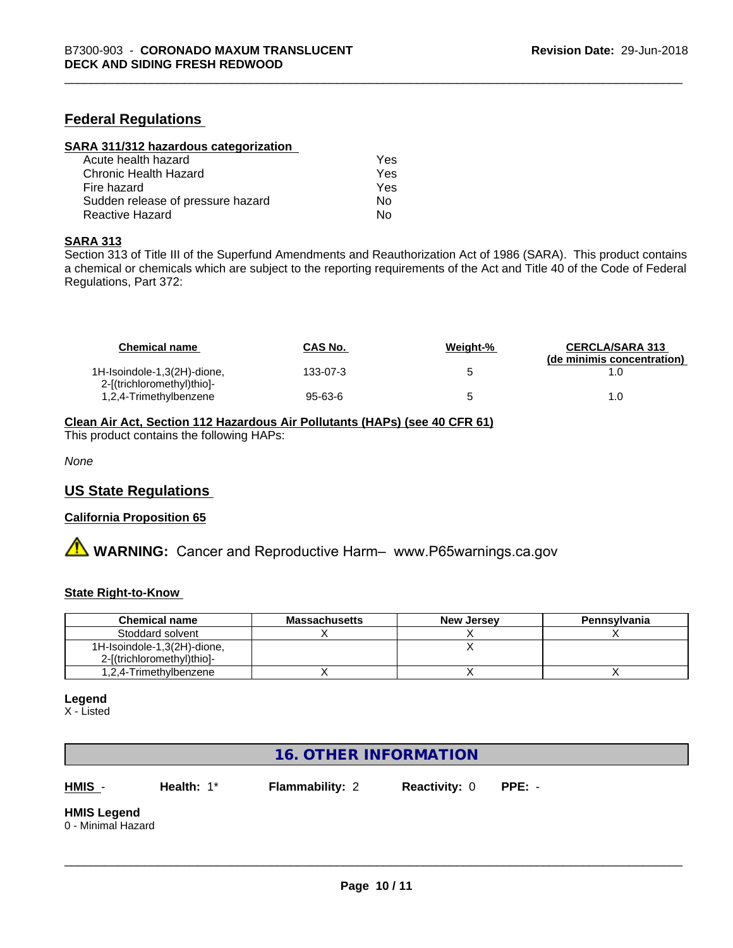#### **Federal Regulations**

| SARA 311/312 hazardous categorization |     |  |
|---------------------------------------|-----|--|
| Acute health hazard                   | Yes |  |
| Chronic Health Hazard                 | Yes |  |
| Fire hazard                           | Yes |  |
| Sudden release of pressure hazard     | Nο  |  |
| Reactive Hazard                       | No  |  |

#### **SARA 313**

Section 313 of Title III of the Superfund Amendments and Reauthorization Act of 1986 (SARA). This product contains a chemical or chemicals which are subject to the reporting requirements of the Act and Title 40 of the Code of Federal Regulations, Part 372:

| <b>Chemical name</b>                                      | <b>CAS No.</b> | Weight-% | <b>CERCLA/SARA 313</b><br>(de minimis concentration) |
|-----------------------------------------------------------|----------------|----------|------------------------------------------------------|
| 1H-Isoindole-1,3(2H)-dione,<br>2-[(trichloromethyl)thio]- | 133-07-3       |          |                                                      |
| 1,2,4-Trimethylbenzene                                    | 95-63-6        |          | 1.0                                                  |

#### **Clean Air Act,Section 112 Hazardous Air Pollutants (HAPs) (see 40 CFR 61)**

This product contains the following HAPs:

*None*

#### **US State Regulations**

#### **California Proposition 65**

**A** WARNING: Cancer and Reproductive Harm– www.P65warnings.ca.gov

#### **State Right-to-Know**

| <b>Chemical name</b>        | <b>Massachusetts</b> | <b>New Jersey</b> | Pennsylvania |
|-----------------------------|----------------------|-------------------|--------------|
| Stoddard solvent            |                      |                   |              |
| 1H-Isoindole-1,3(2H)-dione, |                      |                   |              |
| 2-[(trichloromethyl)thio]-  |                      |                   |              |
| 1,2,4-Trimethylbenzene      |                      |                   |              |

#### **Legend**

X - Listed

## **16. OTHER INFORMATION**

**HMIS** - **Health:** 1\* **Flammability:** 2 **Reactivity:** 0 **PPE:** -

 $\overline{\phantom{a}}$  ,  $\overline{\phantom{a}}$  ,  $\overline{\phantom{a}}$  ,  $\overline{\phantom{a}}$  ,  $\overline{\phantom{a}}$  ,  $\overline{\phantom{a}}$  ,  $\overline{\phantom{a}}$  ,  $\overline{\phantom{a}}$  ,  $\overline{\phantom{a}}$  ,  $\overline{\phantom{a}}$  ,  $\overline{\phantom{a}}$  ,  $\overline{\phantom{a}}$  ,  $\overline{\phantom{a}}$  ,  $\overline{\phantom{a}}$  ,  $\overline{\phantom{a}}$  ,  $\overline{\phantom{a}}$ 

# **HMIS Legend**

0 - Minimal Hazard